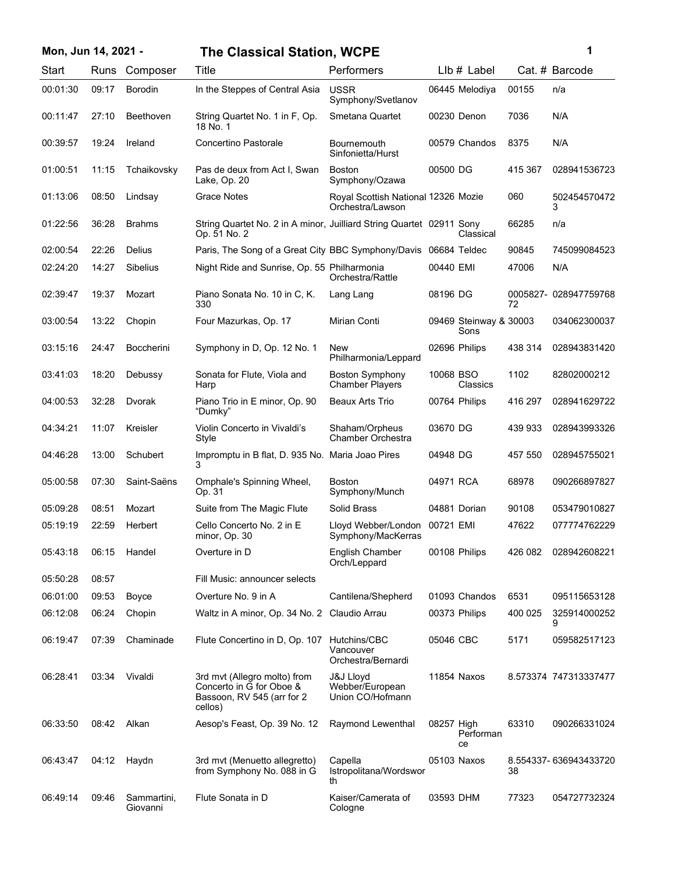| Mon, Jun 14, 2021 - |       |                         | <b>The Classical Station, WCPE</b>                                                                |                                                         |            |                                |         | 1                     |
|---------------------|-------|-------------------------|---------------------------------------------------------------------------------------------------|---------------------------------------------------------|------------|--------------------------------|---------|-----------------------|
| Start               | Runs  | Composer                | Title                                                                                             | Performers                                              |            | $Llb#$ Label                   |         | Cat. # Barcode        |
| 00:01:30            | 09:17 | <b>Borodin</b>          | In the Steppes of Central Asia                                                                    | <b>USSR</b><br>Symphony/Svetlanov                       |            | 06445 Melodiya                 | 00155   | n/a                   |
| 00:11:47            | 27:10 | Beethoven               | String Quartet No. 1 in F, Op.<br>18 No. 1                                                        | Smetana Quartet                                         |            | 00230 Denon                    | 7036    | N/A                   |
| 00:39:57            | 19:24 | Ireland                 | Concertino Pastorale                                                                              | Bournemouth<br>Sinfonietta/Hurst                        |            | 00579 Chandos                  | 8375    | N/A                   |
| 01:00:51            | 11:15 | Tchaikovsky             | Pas de deux from Act I, Swan<br>Lake, Op. 20                                                      | <b>Boston</b><br>Symphony/Ozawa                         | 00500 DG   |                                | 415 367 | 028941536723          |
| 01:13:06            | 08:50 | Lindsay                 | <b>Grace Notes</b>                                                                                | Royal Scottish National 12326 Mozie<br>Orchestra/Lawson |            |                                | 060     | 502454570472<br>3     |
| 01:22:56            | 36:28 | <b>Brahms</b>           | String Quartet No. 2 in A minor, Juilliard String Quartet 02911 Sony<br>Op. 51 No. 2              |                                                         |            | Classical                      | 66285   | n/a                   |
| 02:00:54            | 22:26 | Delius                  | Paris, The Song of a Great City BBC Symphony/Davis 06684 Teldec                                   |                                                         |            |                                | 90845   | 745099084523          |
| 02:24:20            | 14:27 | <b>Sibelius</b>         | Night Ride and Sunrise, Op. 55 Philharmonia                                                       | Orchestra/Rattle                                        | 00440 EMI  |                                | 47006   | N/A                   |
| 02:39:47            | 19:37 | Mozart                  | Piano Sonata No. 10 in C, K.<br>330                                                               | Lang Lang                                               | 08196 DG   |                                | 72      | 0005827-028947759768  |
| 03:00:54            | 13:22 | Chopin                  | Four Mazurkas, Op. 17                                                                             | Mirian Conti                                            |            | 09469 Steinway & 30003<br>Sons |         | 034062300037          |
| 03:15:16            | 24:47 | <b>Boccherini</b>       | Symphony in D, Op. 12 No. 1                                                                       | <b>New</b><br>Philharmonia/Leppard                      |            | 02696 Philips                  | 438 314 | 028943831420          |
| 03:41:03            | 18:20 | Debussy                 | Sonata for Flute, Viola and<br>Harp                                                               | <b>Boston Symphony</b><br><b>Chamber Players</b>        | 10068 BSO  | Classics                       | 1102    | 82802000212           |
| 04:00:53            | 32:28 | Dvorak                  | Piano Trio in E minor, Op. 90<br>"Dumky"                                                          | <b>Beaux Arts Trio</b>                                  |            | 00764 Philips                  | 416 297 | 028941629722          |
| 04:34:21            | 11:07 | Kreisler                | Violin Concerto in Vivaldi's<br>Style                                                             | Shaham/Orpheus<br>Chamber Orchestra                     | 03670 DG   |                                | 439 933 | 028943993326          |
| 04:46:28            | 13:00 | Schubert                | Impromptu in B flat, D. 935 No. Maria Joao Pires<br>3                                             |                                                         | 04948 DG   |                                | 457 550 | 028945755021          |
| 05:00:58            | 07:30 | Saint-Saëns             | Omphale's Spinning Wheel,<br>Op. 31                                                               | <b>Boston</b><br>Symphony/Munch                         | 04971 RCA  |                                | 68978   | 090266897827          |
| 05:09:28            | 08:51 | Mozart                  | Suite from The Magic Flute                                                                        | Solid Brass                                             |            | 04881 Dorian                   | 90108   | 053479010827          |
| 05:19:19            | 22:59 | Herbert                 | Cello Concerto No. 2 in E<br>minor, Op. 30                                                        | Lloyd Webber/London<br>Symphony/MacKerras               | 00721 EMI  |                                | 47622   | 077774762229          |
| 05:43:18            | 06:15 | Handel                  | Overture in D                                                                                     | English Chamber<br>Orch/Leppard                         |            | 00108 Philips                  | 426 082 | 028942608221          |
| 05:50:28            | 08:57 |                         | Fill Music: announcer selects                                                                     |                                                         |            |                                |         |                       |
| 06:01:00            | 09:53 | Boyce                   | Overture No. 9 in A                                                                               | Cantilena/Shepherd                                      |            | 01093 Chandos                  | 6531    | 095115653128          |
| 06:12:08            | 06:24 | Chopin                  | Waltz in A minor, Op. 34 No. 2 Claudio Arrau                                                      |                                                         |            | 00373 Philips                  | 400 025 | 325914000252<br>9     |
| 06:19:47            | 07:39 | Chaminade               | Flute Concertino in D, Op. 107                                                                    | Hutchins/CBC<br>Vancouver<br>Orchestra/Bernardi         | 05046 CBC  |                                | 5171    | 059582517123          |
| 06:28:41            | 03:34 | Vivaldi                 | 3rd mvt (Allegro molto) from<br>Concerto in G for Oboe &<br>Bassoon, RV 545 (arr for 2<br>cellos) | J&J Lloyd<br>Webber/European<br>Union CO/Hofmann        |            | 11854 Naxos                    |         | 8.573374 747313337477 |
| 06:33:50            | 08:42 | Alkan                   | Aesop's Feast, Op. 39 No. 12                                                                      | Raymond Lewenthal                                       | 08257 High | Performan<br>ce                | 63310   | 090266331024          |
| 06:43:47            | 04:12 | Haydn                   | 3rd mvt (Menuetto allegretto)<br>from Symphony No. 088 in G                                       | Capella<br>Istropolitana/Wordswor<br>th                 |            | 05103 Naxos                    | 38      | 8.554337-636943433720 |
| 06:49:14            | 09:46 | Sammartini,<br>Giovanni | Flute Sonata in D                                                                                 | Kaiser/Camerata of<br>Cologne                           | 03593 DHM  |                                | 77323   | 054727732324          |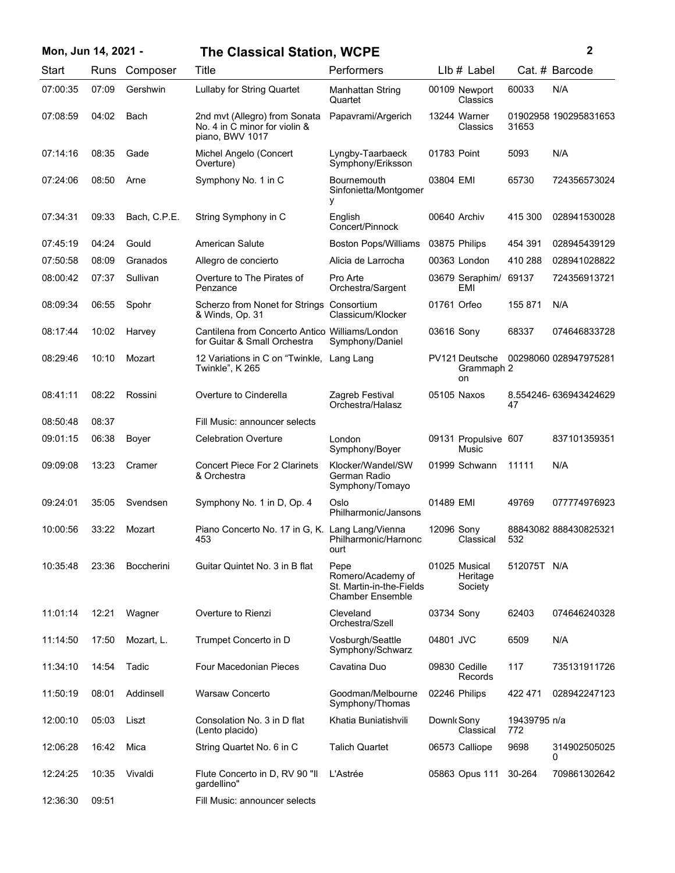| Mon, Jun 14, 2021 - |       |                   | <b>The Classical Station, WCPE</b>                                                |                                                                                  |             |                                      |                     | 2                     |
|---------------------|-------|-------------------|-----------------------------------------------------------------------------------|----------------------------------------------------------------------------------|-------------|--------------------------------------|---------------------|-----------------------|
| Start               |       | Runs Composer     | Title                                                                             | Performers                                                                       |             | LIb # Label                          |                     | Cat. # Barcode        |
| 07:00:35            | 07:09 | Gershwin          | Lullaby for String Quartet                                                        | Manhattan String<br>Quartet                                                      |             | 00109 Newport<br>Classics            | 60033               | N/A                   |
| 07:08:59            | 04:02 | Bach              | 2nd mvt (Allegro) from Sonata<br>No. 4 in C minor for violin &<br>piano, BWV 1017 | Papavrami/Argerich                                                               |             | 13244 Warner<br>Classics             | 31653               | 01902958 190295831653 |
| 07:14:16            | 08:35 | Gade              | Michel Angelo (Concert<br>Overture)                                               | Lyngby-Taarbaeck<br>Symphony/Eriksson                                            | 01783 Point |                                      | 5093                | N/A                   |
| 07:24:06            | 08:50 | Arne              | Symphony No. 1 in C                                                               | Bournemouth<br>Sinfonietta/Montgomer<br>у                                        | 03804 EMI   |                                      | 65730               | 724356573024          |
| 07:34:31            | 09:33 | Bach, C.P.E.      | String Symphony in C                                                              | English<br>Concert/Pinnock                                                       |             | 00640 Archiv                         | 415 300             | 028941530028          |
| 07:45:19            | 04:24 | Gould             | American Salute                                                                   | <b>Boston Pops/Williams</b>                                                      |             | 03875 Philips                        | 454 391             | 028945439129          |
| 07:50:58            | 08:09 | Granados          | Allegro de concierto                                                              | Alicia de Larrocha                                                               |             | 00363 London                         | 410 288             | 028941028822          |
| 08:00:42            | 07:37 | Sullivan          | Overture to The Pirates of<br>Penzance                                            | Pro Arte<br>Orchestra/Sargent                                                    |             | 03679 Seraphim/<br>EMI               | 69137               | 724356913721          |
| 08:09:34            | 06:55 | Spohr             | Scherzo from Nonet for Strings Consortium<br>& Winds, Op. 31                      | Classicum/Klocker                                                                |             | 01761 Orfeo                          | 155 871             | N/A                   |
| 08:17:44            | 10:02 | Harvey            | Cantilena from Concerto Antico Williams/London<br>for Guitar & Small Orchestra    | Symphony/Daniel                                                                  | 03616 Sony  |                                      | 68337               | 074646833728          |
| 08:29:46            | 10:10 | Mozart            | 12 Variations in C on "Twinkle,<br>Twinkle", K 265                                | Lang Lang                                                                        |             | PV121 Deutsche<br>Grammaph 2<br>on   |                     | 00298060 028947975281 |
| 08:41:11            | 08:22 | Rossini           | Overture to Cinderella                                                            | Zagreb Festival<br>Orchestra/Halasz                                              |             | 05105 Naxos                          | 47                  | 8.554246-636943424629 |
| 08:50:48            | 08:37 |                   | Fill Music: announcer selects                                                     |                                                                                  |             |                                      |                     |                       |
| 09:01:15            | 06:38 | Boyer             | <b>Celebration Overture</b>                                                       | London<br>Symphony/Boyer                                                         |             | 09131 Propulsive 607<br>Music        |                     | 837101359351          |
| 09:09:08            | 13:23 | Cramer            | <b>Concert Piece For 2 Clarinets</b><br>& Orchestra                               | Klocker/Wandel/SW<br>German Radio<br>Symphony/Tomayo                             |             | 01999 Schwann                        | 11111               | N/A                   |
| 09:24:01            | 35:05 | Svendsen          | Symphony No. 1 in D, Op. 4                                                        | Oslo<br>Philharmonic/Jansons                                                     | 01489 EMI   |                                      | 49769               | 077774976923          |
| 10:00:56            | 33:22 | Mozart            | Piano Concerto No. 17 in G, K. Lang Lang/Vienna<br>453                            | Philharmonic/Harnonc<br>ourt                                                     | 12096 Sony  | Classical                            | 532                 | 88843082 888430825321 |
| 10:35:48            | 23:36 | <b>Boccherini</b> | Guitar Quintet No. 3 in B flat                                                    | Pepe<br>Romero/Academy of<br>St. Martin-in-the-Fields<br><b>Chamber Ensemble</b> |             | 01025 Musical<br>Heritage<br>Society | 512075T N/A         |                       |
| 11:01:14            | 12:21 | Wagner            | Overture to Rienzi                                                                | Cleveland<br>Orchestra/Szell                                                     | 03734 Sony  |                                      | 62403               | 074646240328          |
| 11:14:50            | 17:50 | Mozart, L.        | Trumpet Concerto in D                                                             | Vosburgh/Seattle<br>Symphony/Schwarz                                             | 04801 JVC   |                                      | 6509                | N/A                   |
| 11:34:10            | 14:54 | Tadic             | Four Macedonian Pieces                                                            | Cavatina Duo                                                                     |             | 09830 Cedille<br>Records             | 117                 | 735131911726          |
| 11:50:19            | 08:01 | Addinsell         | Warsaw Concerto                                                                   | Goodman/Melbourne<br>Symphony/Thomas                                             |             | 02246 Philips                        | 422 471             | 028942247123          |
| 12:00:10            | 05:03 | Liszt             | Consolation No. 3 in D flat<br>(Lento placido)                                    | Khatia Buniatishvili                                                             | Downk Sony  | Classical                            | 19439795 n/a<br>772 |                       |
| 12:06:28            | 16:42 | Mica              | String Quartet No. 6 in C                                                         | <b>Talich Quartet</b>                                                            |             | 06573 Calliope                       | 9698                | 314902505025<br>0     |
| 12:24:25            | 10:35 | Vivaldi           | Flute Concerto in D, RV 90 "II<br>gardellino"                                     | L'Astrée                                                                         |             | 05863 Opus 111                       | 30-264              | 709861302642          |
| 12:36:30            | 09:51 |                   | Fill Music: announcer selects                                                     |                                                                                  |             |                                      |                     |                       |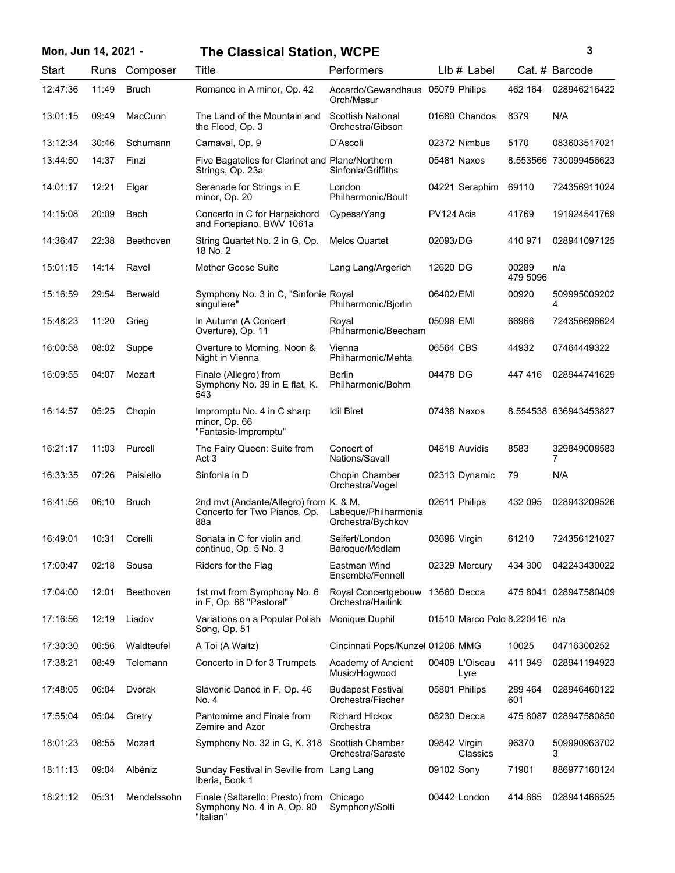| Mon, Jun 14, 2021 - |       |                | <b>The Classical Station, WCPE</b>                                            |                                                |                               |                   | 3                     |
|---------------------|-------|----------------|-------------------------------------------------------------------------------|------------------------------------------------|-------------------------------|-------------------|-----------------------|
| Start               |       | Runs Composer  | Title                                                                         | Performers                                     | LIb # Label                   |                   | Cat. # Barcode        |
| 12:47:36            | 11:49 | <b>Bruch</b>   | Romance in A minor, Op. 42                                                    | Accardo/Gewandhaus 05079 Philips<br>Orch/Masur |                               | 462 164           | 028946216422          |
| 13:01:15            | 09:49 | MacCunn        | The Land of the Mountain and<br>the Flood, Op. 3                              | <b>Scottish National</b><br>Orchestra/Gibson   | 01680 Chandos                 | 8379              | N/A                   |
| 13:12:34            | 30:46 | Schumann       | Carnaval, Op. 9                                                               | D'Ascoli                                       | 02372 Nimbus                  | 5170              | 083603517021          |
| 13:44:50            | 14:37 | Finzi          | Five Bagatelles for Clarinet and Plane/Northern<br>Strings, Op. 23a           | Sinfonia/Griffiths                             | 05481 Naxos                   |                   | 8.553566 730099456623 |
| 14:01:17            | 12:21 | Elgar          | Serenade for Strings in E<br>minor, Op. 20                                    | London<br>Philharmonic/Boult                   | 04221 Seraphim                | 69110             | 724356911024          |
| 14:15:08            | 20:09 | Bach           | Concerto in C for Harpsichord<br>and Fortepiano, BWV 1061a                    | Cypess/Yang                                    | PV124 Acis                    | 41769             | 191924541769          |
| 14:36:47            | 22:38 | Beethoven      | String Quartet No. 2 in G, Op.<br>18 No. 2                                    | <b>Melos Quartet</b>                           | 02093/DG                      | 410 971           | 028941097125          |
| 15:01:15            | 14:14 | Ravel          | <b>Mother Goose Suite</b>                                                     | Lang Lang/Argerich                             | 12620 DG                      | 00289<br>479 5096 | n/a                   |
| 15:16:59            | 29:54 | <b>Berwald</b> | Symphony No. 3 in C, "Sinfonie Royal<br>singuliere"                           | Philharmonic/Bjorlin                           | 06402/EMI                     | 00920             | 509995009202<br>4     |
| 15:48:23            | 11:20 | Grieg          | In Autumn (A Concert<br>Overture), Op. 11                                     | Royal<br>Philharmonic/Beecham                  | 05096 EMI                     | 66966             | 724356696624          |
| 16:00:58            | 08:02 | Suppe          | Overture to Morning, Noon &<br>Night in Vienna                                | Vienna<br>Philharmonic/Mehta                   | 06564 CBS                     | 44932             | 07464449322           |
| 16:09:55            | 04:07 | Mozart         | Finale (Allegro) from<br>Symphony No. 39 in E flat, K.<br>543                 | <b>Berlin</b><br>Philharmonic/Bohm             | 04478 DG                      | 447416            | 028944741629          |
| 16:14:57            | 05:25 | Chopin         | Impromptu No. 4 in C sharp<br>minor, Op. 66<br>"Fantasie-Impromptu"           | <b>Idil Biret</b>                              | 07438 Naxos                   |                   | 8.554538 636943453827 |
| 16:21:17            | 11:03 | Purcell        | The Fairy Queen: Suite from<br>Act 3                                          | Concert of<br>Nations/Savall                   | 04818 Auvidis                 | 8583              | 329849008583<br>7     |
| 16:33:35            | 07:26 | Paisiello      | Sinfonia in D                                                                 | Chopin Chamber<br>Orchestra/Vogel              | 02313 Dynamic                 | 79                | N/A                   |
| 16:41:56            | 06:10 | <b>Bruch</b>   | 2nd mvt (Andante/Allegro) from K. & M.<br>Concerto for Two Pianos, Op.<br>88a | Labeque/Philharmonia<br>Orchestra/Bychkov      | 02611 Philips                 | 432 095           | 028943209526          |
| 16:49:01            | 10:31 | Corelli        | Sonata in C for violin and<br>continuo, Op. 5 No. 3                           | Seifert/London<br>Baroque/Medlam               | 03696 Virgin                  | 61210             | 724356121027          |
| 17:00:47            | 02:18 | Sousa          | Riders for the Flag                                                           | Eastman Wind<br>Ensemble/Fennell               | 02329 Mercury                 | 434 300           | 042243430022          |
| 17:04:00            | 12:01 | Beethoven      | 1st mvt from Symphony No. 6<br>in F, Op. 68 "Pastoral"                        | Royal Concertgebouw<br>Orchestra/Haitink       | 13660 Decca                   |                   | 475 8041 028947580409 |
| 17:16:56            | 12:19 | Liadov         | Variations on a Popular Polish<br>Song, Op. 51                                | Monique Duphil                                 | 01510 Marco Polo 8.220416 n/a |                   |                       |
| 17:30:30            | 06:56 | Waldteufel     | A Toi (A Waltz)                                                               | Cincinnati Pops/Kunzel 01206 MMG               |                               | 10025             | 04716300252           |
| 17:38:21            | 08:49 | Telemann       | Concerto in D for 3 Trumpets                                                  | Academy of Ancient<br>Music/Hogwood            | 00409 L'Oiseau<br>Lyre        | 411 949           | 028941194923          |
| 17:48:05            | 06:04 | Dvorak         | Slavonic Dance in F, Op. 46<br>No. 4                                          | <b>Budapest Festival</b><br>Orchestra/Fischer  | 05801 Philips                 | 289 464<br>601    | 028946460122          |
| 17:55:04            | 05:04 | Gretry         | Pantomime and Finale from<br>Zemire and Azor                                  | <b>Richard Hickox</b><br>Orchestra             | 08230 Decca                   |                   | 475 8087 028947580850 |
| 18:01:23            | 08:55 | Mozart         | Symphony No. 32 in G, K. 318                                                  | Scottish Chamber<br>Orchestra/Saraste          | 09842 Virgin<br>Classics      | 96370             | 509990963702<br>3     |
| 18:11:13            | 09:04 | Albéniz        | Sunday Festival in Seville from Lang Lang<br>Iberia, Book 1                   |                                                | 09102 Sony                    | 71901             | 886977160124          |
| 18:21:12            | 05:31 | Mendelssohn    | Finale (Saltarello: Presto) from<br>Symphony No. 4 in A, Op. 90<br>"Italian"  | Chicago<br>Symphony/Solti                      | 00442 London                  | 414 665           | 028941466525          |